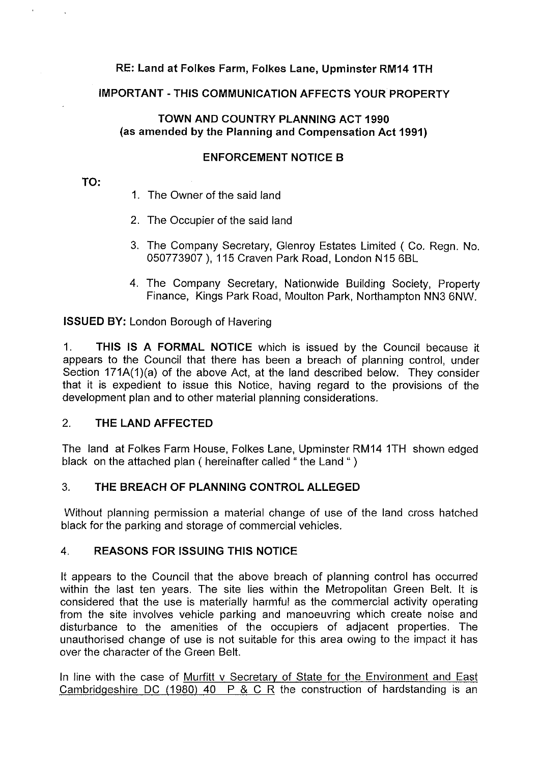## **RE: Land at Folkes Farm, Folkes Lane, Upminster RM14 1TH**

## **IMPORTANT-THIS COMMUNICATION AFFECTS YOUR PROPERTY**

## **TOWN AND COUNTRY PLANNING ACT 1990 (as amended by the Planning and Compensation Act 1991)**

## **ENFORCEMENT NOTICE B**

## **TO:**

- 1. The Owner of the said land
- 2. The Occupier of the said land
- 3. The Company Secretary, Glenroy Estates Limited ( Co. Regn. No. 050773907 ), 115 Craven Park Road, London N15 6BL
- 4. The Company Secretary, Nationwide Building Society, Property Finance, Kings Park Road, Moulton Park, Northampton NN3 6NW.

**ISSUED BY:** London Borough of Havering

1. **THIS IS A FORMAL NOTICE** which is issued by the Council because it appears to the Council that there has been a breach of planning control, under Section 171A(1)(a) of the above Act, at the land described below. They consider that it is expedient to issue this Notice, having regard to the provisions of the development plan and to other material planning considerations.

# 2. **THE LAND AFFECTED**

The land at Folkes Farm House, Folkes Lane, Upminster RM14 1TH shown edged black on the attached plan ( hereinafter called " the Land " )

# 3. **THE BREACH OF PLANNING CONTROL ALLEGED**

Without planning permission a material change of use of the land cross hatched black for the parking and storage of commercial vehicles.

# 4. **REASONS FOR ISSUING THIS NOTICE**

It appears to the Council that the above breach of planning control has occurred within the last ten years. The site lies within the Metropolitan Green Belt. It is considered that the use is materially harmful as the commercial activity operating from the site involves vehicle parking and manoeuvring which create noise and disturbance to the amenities of the occupiers of adjacent properties. The unauthorised change of use is not suitable for this area owing to the impact it has over the character of the Green Belt.

In line with the case of Murfitt v Secretary of State for the Environment and East Cambridgeshire DC (1980) 40 P & C R the construction of hardstanding is an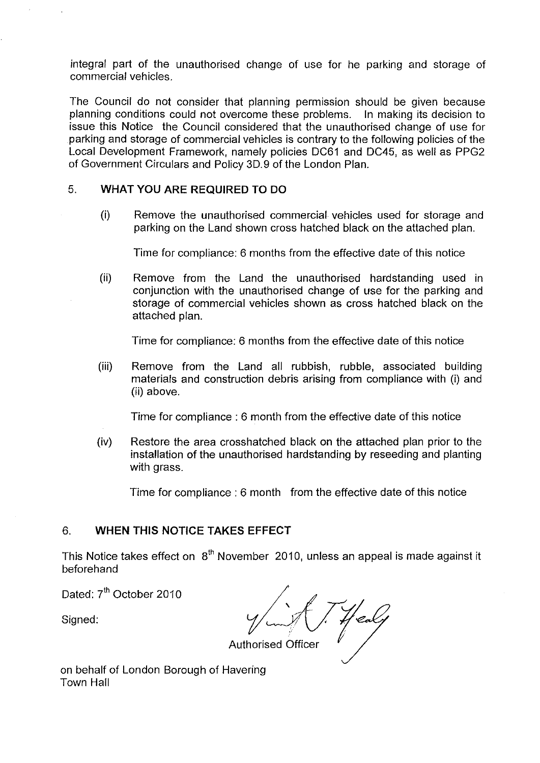integral part of the unauthorised change of use for he parking and storage of commercial vehicles.

The Council do not consider that planning permission should be given because planning conditions could not overcome these problems. In making its decision to issue this Notice the Council considered that the unauthorised change of use for parking and storage of commercial vehicles is contrary to the following policies of the Local Development Framework, namely policies DC61 and DC45, as well as PPG2 of Government Circulars and Policy 3D. 9 of the London Plan.

## 5. **WHAT YOU ARE REQUIRED TO DO**

(i) Remove the unauthorised commercial vehicles used for storage and parking on the Land shown cross hatched black on the attached plan.

Time for compliance: 6 months from the effective date of this notice

(ii) Remove from the Land the unauthorised hardstanding used in conjunction with the unauthorised change of use for the parking and storage of commercial vehicles shown as cross hatched black on the attached plan.

Time for compliance: 6 months from the effective date of this notice

(iii) Remove from the Land all rubbish, rubble, associated building materials and construction debris arising from compliance with (i) and (ii) above.

Time for compliance : 6 month from the effective date of this notice

(iv) Restore the area crosshatched black on the attached plan prior to the installation of the unauthorised hardstanding by reseeding and planting with grass.

Time for compliance : 6 month from the effective date of this notice

## 6. **WHEN THIS NOTICE TAKES EFFECT**

This Notice takes effect on  $8<sup>th</sup>$  November 2010, unless an appeal is made against it beforehand

Dated: 7<sup>th</sup> October 2010

Signed:

Authorised Officer mber 2010, unless an a<br>  $\frac{1}{2}$ <br>  $\frac{1}{2}$ <br>
thorised Officer

on behalf of London Borough of Havering Town Hall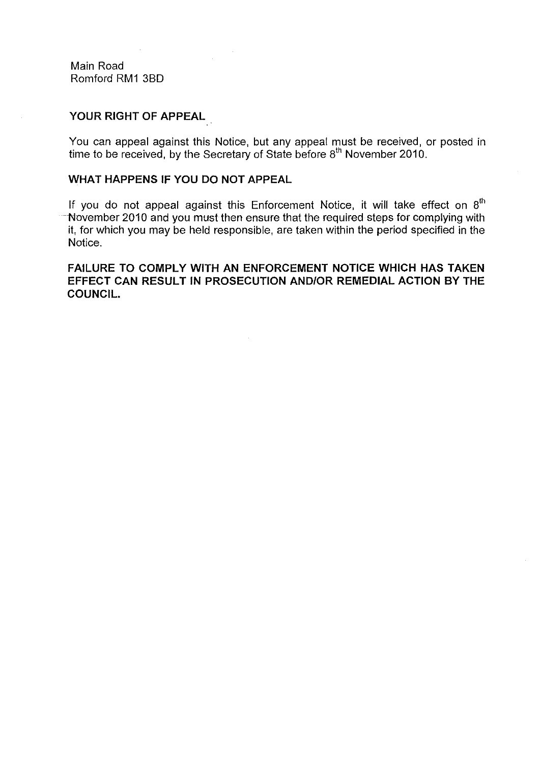Main Road Romford RM1 38D

#### **YOUR RIGHT OF APPEAL**

You can appeal against this Notice, but any appeal must be received, or posted in time to be received, by the Secretary of State before 8<sup>th</sup> November 2010.

## **WHAT HAPPENS IF YOU DO NOT APPEAL**

If you do not appeal against this Enforcement Notice, it will take effect on  $8<sup>th</sup>$ November 2010 and you must then ensure that the required steps for complying with it, for which you may be held responsible, are taken within the period specified in the Notice.

**FAILURE TO COMPLY WITH AN ENFORCEMENT NOTICE WHICH HAS TAKEN EFFECT CAN RESULT IN PROSECUTION AND/OR REMEDIAL ACTION BY THE COUNCIL.**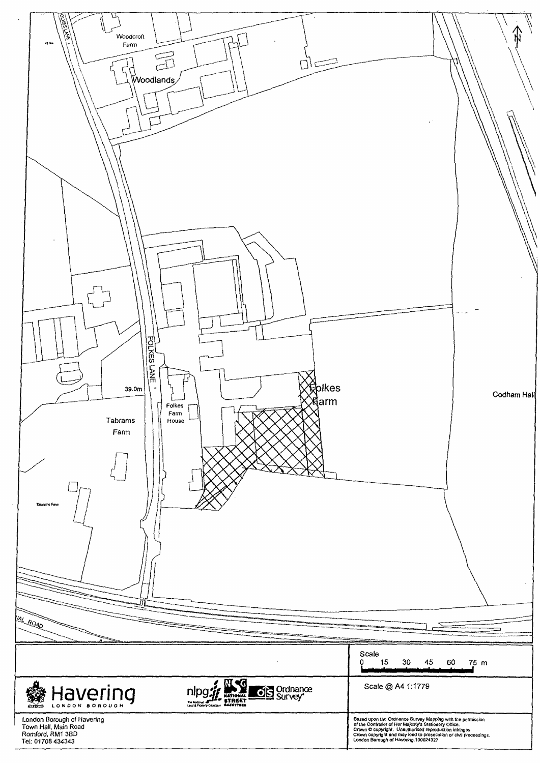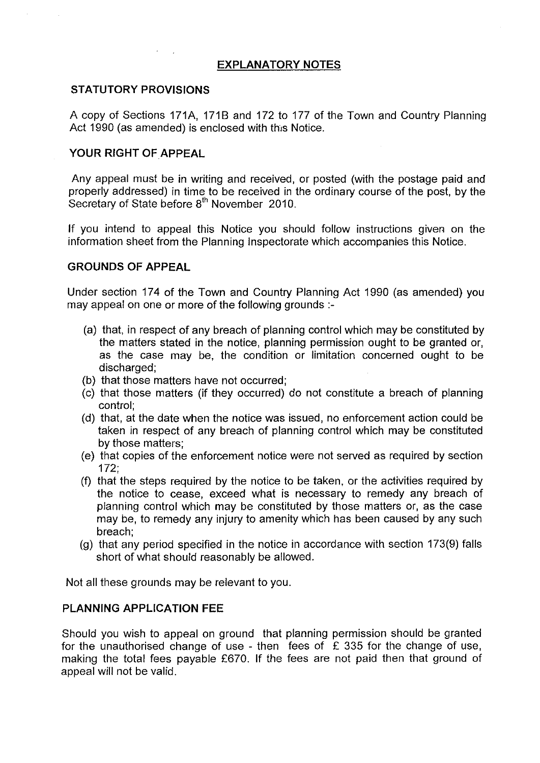### **EXPLANATORY NOTES**

#### **STATUTORY PROVISIONS**

A copy of Sections 171A, 171B and 172 to 177 of the Town and Country Planning Act 1990 (as amended) is enclosed with this Notice.

#### **YOUR RIGHT OF APPEAL**

Any appeal must be in writing and received, or posted (with the postage paid and properly addressed) in time to be received in the ordinary course of the post, by the Secretary of State before  $8<sup>th</sup>$  November 2010.

If you intend to appeal this Notice you should follow instructions given on the information sheet from the Planning Inspectorate which accompanies this Notice.

### **GROUNDS OF APPEAL**

Under section 174 of the Town and Country Planning Act 1990 (as amended) you may appeal on one or more of the following grounds :-

- (a) that, in respect of any breach of planning control which may be constituted by the matters stated in the notice, planning permission ought to be granted or, as the case may be, the condition or limitation concerned ought to be discharged;
- (b) that those matters have not occurred;
- (c) that those matters (if they occurred) do not constitute a breach of planning control;
- (d) that, at the date when the notice was issued, no enforcement action could be taken in respect of any breach of planning control which may be constituted by those matters;
- (e) that copies of the enforcement notice were not served as required by section 172;
- (f) that the steps required by the notice to be taken, or the activities required by the notice to cease, exceed what is necessary to remedy any breach of planning control which may be constituted by those matters or, as the case may be, to remedy any injury to amenity which has been caused by any such breach;
- (g) that any period specified in the notice in accordance with section 173(9) falls short of what should reasonably be allowed.

Not all these grounds may be relevant to you.

#### **PLANNING APPLICATION FEE**

Should you wish to appeal on ground that planning permission should be granted for the unauthorised change of use - then fees of  $E$  335 for the change of use, making the total fees payable £670. If the fees are not paid then that ground of appeal will not be valid.